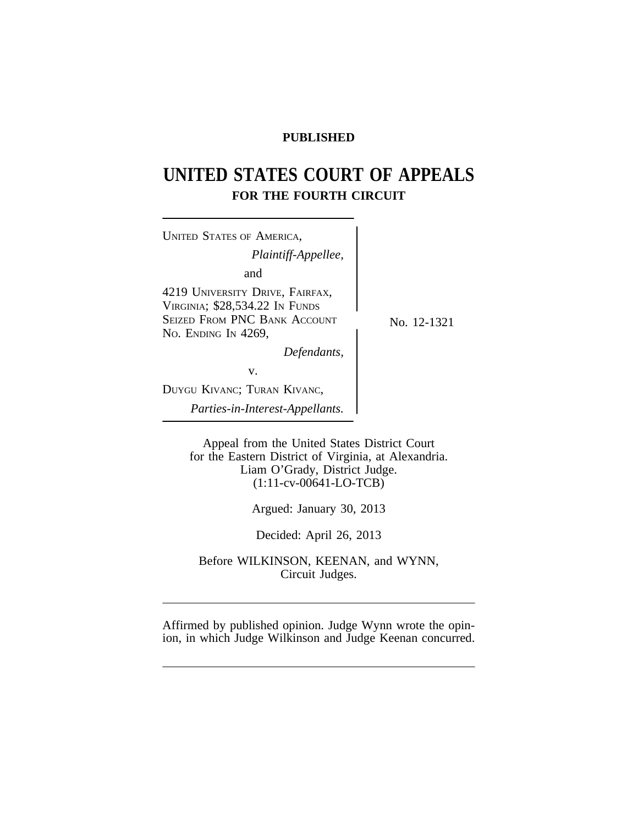## **PUBLISHED**

# **UNITED STATES COURT OF APPEALS FOR THE FOURTH CIRCUIT**

| No. 12-1321 |
|-------------|
|             |
|             |
|             |
|             |
|             |

Appeal from the United States District Court for the Eastern District of Virginia, at Alexandria. Liam O'Grady, District Judge. (1:11-cv-00641-LO-TCB)

Argued: January 30, 2013

Decided: April 26, 2013

Before WILKINSON, KEENAN, and WYNN, Circuit Judges.

Affirmed by published opinion. Judge Wynn wrote the opinion, in which Judge Wilkinson and Judge Keenan concurred.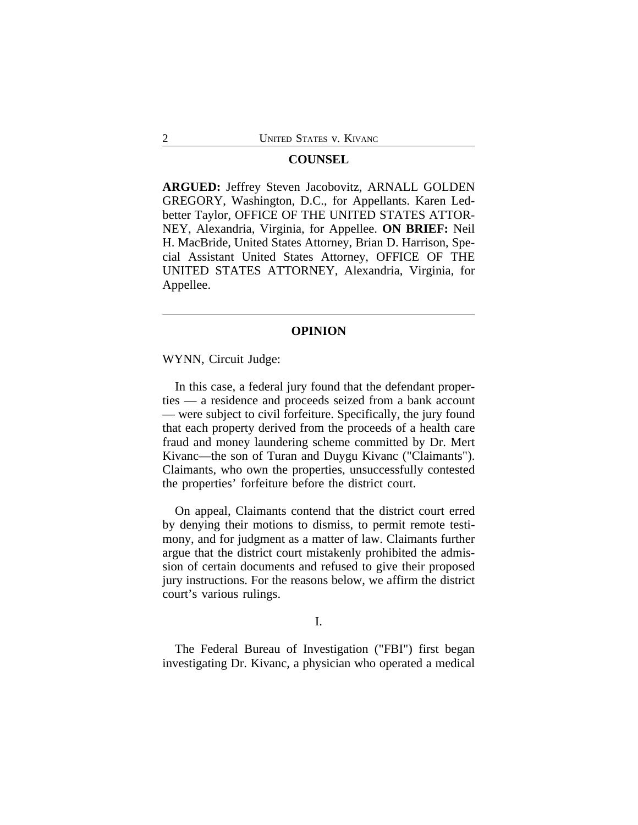#### **COUNSEL**

**ARGUED:** Jeffrey Steven Jacobovitz, ARNALL GOLDEN GREGORY, Washington, D.C., for Appellants. Karen Ledbetter Taylor, OFFICE OF THE UNITED STATES ATTOR-NEY, Alexandria, Virginia, for Appellee. **ON BRIEF:** Neil H. MacBride, United States Attorney, Brian D. Harrison, Special Assistant United States Attorney, OFFICE OF THE UNITED STATES ATTORNEY, Alexandria, Virginia, for Appellee.

#### **OPINION**

WYNN, Circuit Judge:

In this case, a federal jury found that the defendant properties — a residence and proceeds seized from a bank account — were subject to civil forfeiture. Specifically, the jury found that each property derived from the proceeds of a health care fraud and money laundering scheme committed by Dr. Mert Kivanc—the son of Turan and Duygu Kivanc ("Claimants"). Claimants, who own the properties, unsuccessfully contested the properties' forfeiture before the district court.

On appeal, Claimants contend that the district court erred by denying their motions to dismiss, to permit remote testimony, and for judgment as a matter of law. Claimants further argue that the district court mistakenly prohibited the admission of certain documents and refused to give their proposed jury instructions. For the reasons below, we affirm the district court's various rulings.

I.

The Federal Bureau of Investigation ("FBI") first began investigating Dr. Kivanc, a physician who operated a medical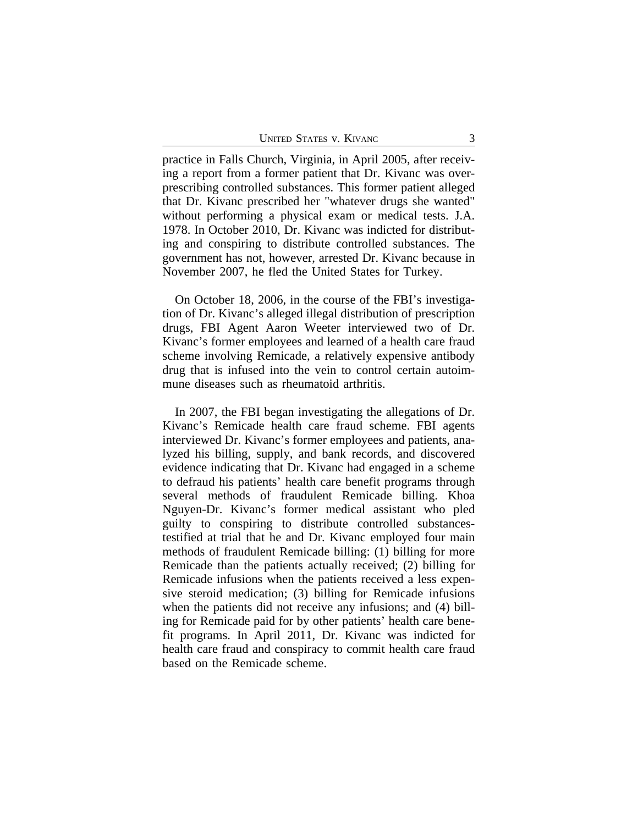practice in Falls Church, Virginia, in April 2005, after receiving a report from a former patient that Dr. Kivanc was overprescribing controlled substances. This former patient alleged that Dr. Kivanc prescribed her "whatever drugs she wanted" without performing a physical exam or medical tests. J.A. 1978. In October 2010, Dr. Kivanc was indicted for distributing and conspiring to distribute controlled substances. The government has not, however, arrested Dr. Kivanc because in November 2007, he fled the United States for Turkey.

On October 18, 2006, in the course of the FBI's investigation of Dr. Kivanc's alleged illegal distribution of prescription drugs, FBI Agent Aaron Weeter interviewed two of Dr. Kivanc's former employees and learned of a health care fraud scheme involving Remicade, a relatively expensive antibody drug that is infused into the vein to control certain autoimmune diseases such as rheumatoid arthritis.

In 2007, the FBI began investigating the allegations of Dr. Kivanc's Remicade health care fraud scheme. FBI agents interviewed Dr. Kivanc's former employees and patients, analyzed his billing, supply, and bank records, and discovered evidence indicating that Dr. Kivanc had engaged in a scheme to defraud his patients' health care benefit programs through several methods of fraudulent Remicade billing. Khoa Nguyen-Dr. Kivanc's former medical assistant who pled guilty to conspiring to distribute controlled substancestestified at trial that he and Dr. Kivanc employed four main methods of fraudulent Remicade billing: (1) billing for more Remicade than the patients actually received; (2) billing for Remicade infusions when the patients received a less expensive steroid medication; (3) billing for Remicade infusions when the patients did not receive any infusions; and (4) billing for Remicade paid for by other patients' health care benefit programs. In April 2011, Dr. Kivanc was indicted for health care fraud and conspiracy to commit health care fraud based on the Remicade scheme.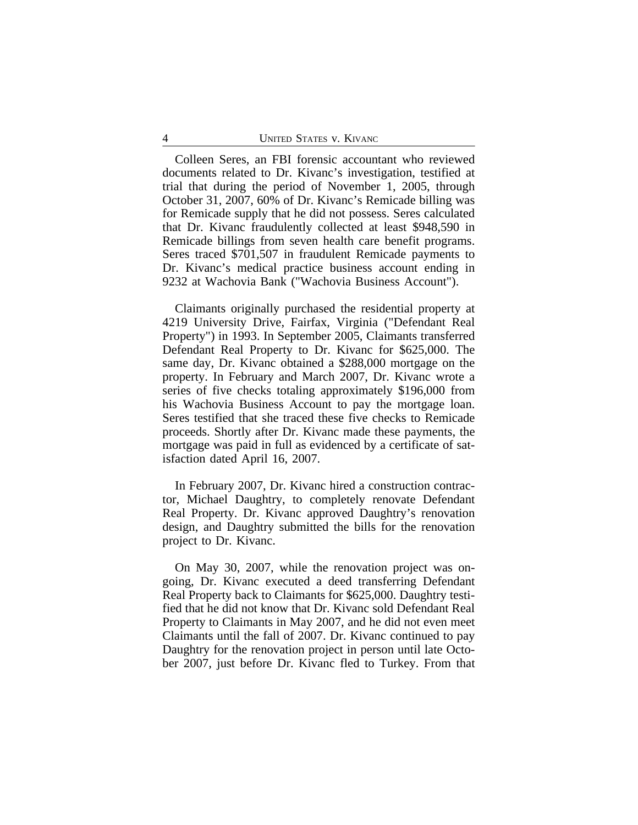Colleen Seres, an FBI forensic accountant who reviewed documents related to Dr. Kivanc's investigation, testified at trial that during the period of November 1, 2005, through October 31, 2007, 60% of Dr. Kivanc's Remicade billing was for Remicade supply that he did not possess. Seres calculated that Dr. Kivanc fraudulently collected at least \$948,590 in Remicade billings from seven health care benefit programs. Seres traced \$701,507 in fraudulent Remicade payments to Dr. Kivanc's medical practice business account ending in 9232 at Wachovia Bank ("Wachovia Business Account").

Claimants originally purchased the residential property at 4219 University Drive, Fairfax, Virginia ("Defendant Real Property") in 1993. In September 2005, Claimants transferred Defendant Real Property to Dr. Kivanc for \$625,000. The same day, Dr. Kivanc obtained a \$288,000 mortgage on the property. In February and March 2007, Dr. Kivanc wrote a series of five checks totaling approximately \$196,000 from his Wachovia Business Account to pay the mortgage loan. Seres testified that she traced these five checks to Remicade proceeds. Shortly after Dr. Kivanc made these payments, the mortgage was paid in full as evidenced by a certificate of satisfaction dated April 16, 2007.

In February 2007, Dr. Kivanc hired a construction contractor, Michael Daughtry, to completely renovate Defendant Real Property. Dr. Kivanc approved Daughtry's renovation design, and Daughtry submitted the bills for the renovation project to Dr. Kivanc.

On May 30, 2007, while the renovation project was ongoing, Dr. Kivanc executed a deed transferring Defendant Real Property back to Claimants for \$625,000. Daughtry testified that he did not know that Dr. Kivanc sold Defendant Real Property to Claimants in May 2007, and he did not even meet Claimants until the fall of 2007. Dr. Kivanc continued to pay Daughtry for the renovation project in person until late October 2007, just before Dr. Kivanc fled to Turkey. From that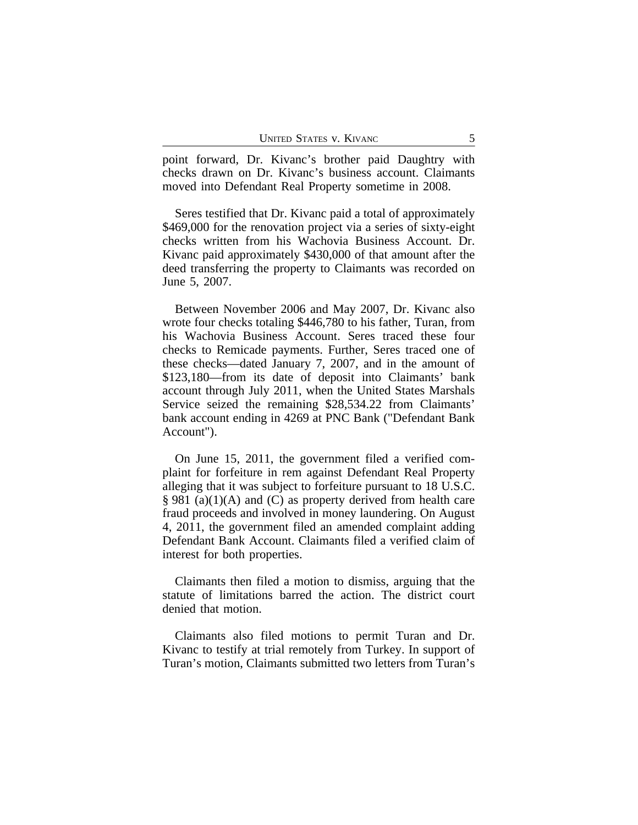point forward, Dr. Kivanc's brother paid Daughtry with checks drawn on Dr. Kivanc's business account. Claimants moved into Defendant Real Property sometime in 2008.

Seres testified that Dr. Kivanc paid a total of approximately \$469,000 for the renovation project via a series of sixty-eight checks written from his Wachovia Business Account. Dr. Kivanc paid approximately \$430,000 of that amount after the deed transferring the property to Claimants was recorded on June 5, 2007.

Between November 2006 and May 2007, Dr. Kivanc also wrote four checks totaling \$446,780 to his father, Turan, from his Wachovia Business Account. Seres traced these four checks to Remicade payments. Further, Seres traced one of these checks—dated January 7, 2007, and in the amount of \$123,180—from its date of deposit into Claimants' bank account through July 2011, when the United States Marshals Service seized the remaining \$28,534.22 from Claimants' bank account ending in 4269 at PNC Bank ("Defendant Bank Account").

On June 15, 2011, the government filed a verified complaint for forfeiture in rem against Defendant Real Property alleging that it was subject to forfeiture pursuant to 18 U.S.C. § 981 (a)(1)(A) and (C) as property derived from health care fraud proceeds and involved in money laundering. On August 4, 2011, the government filed an amended complaint adding Defendant Bank Account. Claimants filed a verified claim of interest for both properties.

Claimants then filed a motion to dismiss, arguing that the statute of limitations barred the action. The district court denied that motion.

Claimants also filed motions to permit Turan and Dr. Kivanc to testify at trial remotely from Turkey. In support of Turan's motion, Claimants submitted two letters from Turan's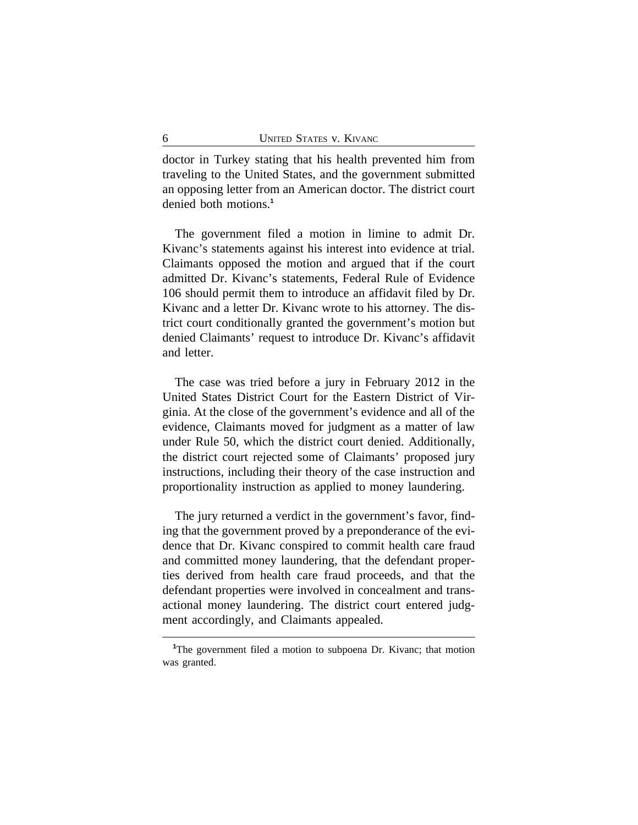doctor in Turkey stating that his health prevented him from traveling to the United States, and the government submitted an opposing letter from an American doctor. The district court denied both motions.**<sup>1</sup>**

The government filed a motion in limine to admit Dr. Kivanc's statements against his interest into evidence at trial. Claimants opposed the motion and argued that if the court admitted Dr. Kivanc's statements, Federal Rule of Evidence 106 should permit them to introduce an affidavit filed by Dr. Kivanc and a letter Dr. Kivanc wrote to his attorney. The district court conditionally granted the government's motion but denied Claimants' request to introduce Dr. Kivanc's affidavit and letter.

The case was tried before a jury in February 2012 in the United States District Court for the Eastern District of Virginia. At the close of the government's evidence and all of the evidence, Claimants moved for judgment as a matter of law under Rule 50, which the district court denied. Additionally, the district court rejected some of Claimants' proposed jury instructions, including their theory of the case instruction and proportionality instruction as applied to money laundering.

The jury returned a verdict in the government's favor, finding that the government proved by a preponderance of the evidence that Dr. Kivanc conspired to commit health care fraud and committed money laundering, that the defendant properties derived from health care fraud proceeds, and that the defendant properties were involved in concealment and transactional money laundering. The district court entered judgment accordingly, and Claimants appealed.

<sup>&</sup>lt;sup>1</sup>The government filed a motion to subpoena Dr. Kivanc; that motion was granted.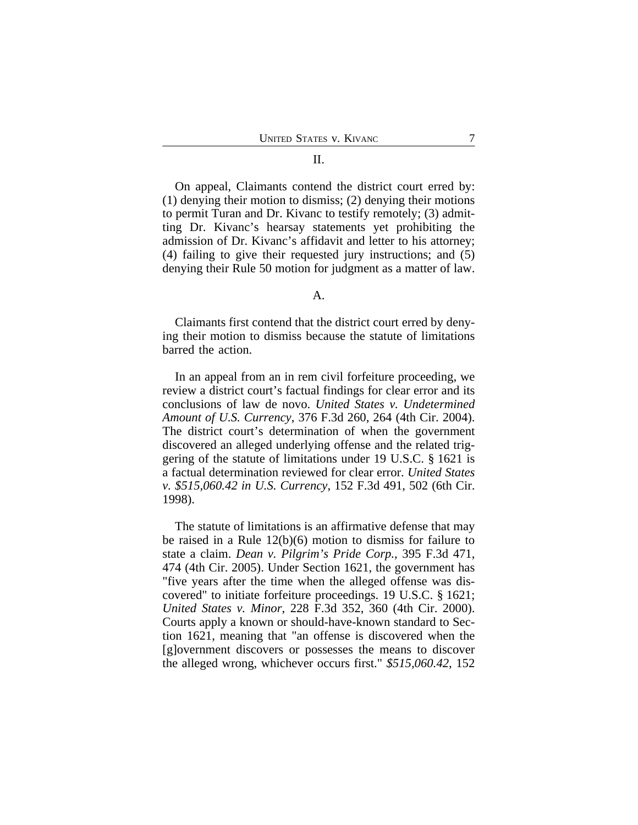#### II.

On appeal, Claimants contend the district court erred by: (1) denying their motion to dismiss; (2) denying their motions to permit Turan and Dr. Kivanc to testify remotely; (3) admitting Dr. Kivanc's hearsay statements yet prohibiting the admission of Dr. Kivanc's affidavit and letter to his attorney; (4) failing to give their requested jury instructions; and (5) denying their Rule 50 motion for judgment as a matter of law.

#### A.

Claimants first contend that the district court erred by denying their motion to dismiss because the statute of limitations barred the action.

In an appeal from an in rem civil forfeiture proceeding, we review a district court's factual findings for clear error and its conclusions of law de novo. *United States v. Undetermined Amount of U.S. Currency*, 376 F.3d 260, 264 (4th Cir. 2004). The district court's determination of when the government discovered an alleged underlying offense and the related triggering of the statute of limitations under 19 U.S.C. § 1621 is a factual determination reviewed for clear error. *United States v. \$515,060.42 in U.S. Currency*, 152 F.3d 491, 502 (6th Cir. 1998).

The statute of limitations is an affirmative defense that may be raised in a Rule 12(b)(6) motion to dismiss for failure to state a claim. *Dean v. Pilgrim's Pride Corp.*, 395 F.3d 471, 474 (4th Cir. 2005). Under Section 1621, the government has "five years after the time when the alleged offense was discovered" to initiate forfeiture proceedings. 19 U.S.C. § 1621; *United States v. Minor*, 228 F.3d 352, 360 (4th Cir. 2000). Courts apply a known or should-have-known standard to Section 1621, meaning that "an offense is discovered when the [g]overnment discovers or possesses the means to discover the alleged wrong, whichever occurs first." *\$515,060.42*, 152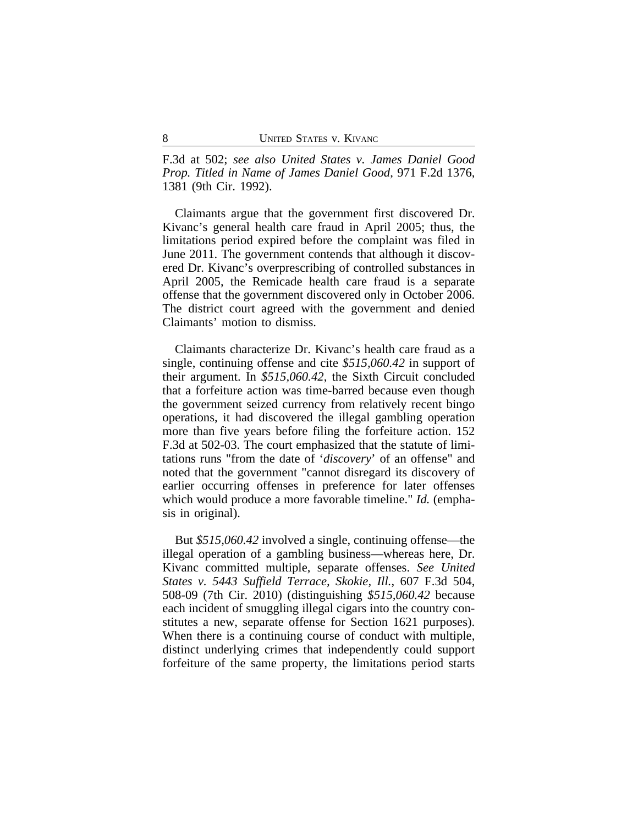F.3d at 502; *see also United States v. James Daniel Good Prop. Titled in Name of James Daniel Good*, 971 F.2d 1376, 1381 (9th Cir. 1992).

Claimants argue that the government first discovered Dr. Kivanc's general health care fraud in April 2005; thus, the limitations period expired before the complaint was filed in June 2011. The government contends that although it discovered Dr. Kivanc's overprescribing of controlled substances in April 2005, the Remicade health care fraud is a separate offense that the government discovered only in October 2006. The district court agreed with the government and denied Claimants' motion to dismiss.

Claimants characterize Dr. Kivanc's health care fraud as a single, continuing offense and cite *\$515,060.42* in support of their argument. In *\$515,060.42*, the Sixth Circuit concluded that a forfeiture action was time-barred because even though the government seized currency from relatively recent bingo operations, it had discovered the illegal gambling operation more than five years before filing the forfeiture action. 152 F.3d at 502-03. The court emphasized that the statute of limitations runs "from the date of '*discovery*' of an offense" and noted that the government "cannot disregard its discovery of earlier occurring offenses in preference for later offenses which would produce a more favorable timeline." *Id.* (emphasis in original).

But *\$515,060.42* involved a single, continuing offense—the illegal operation of a gambling business—whereas here, Dr. Kivanc committed multiple, separate offenses. *See United States v. 5443 Suffield Terrace, Skokie, Ill.*, 607 F.3d 504, 508-09 (7th Cir. 2010) (distinguishing *\$515,060.42* because each incident of smuggling illegal cigars into the country constitutes a new, separate offense for Section 1621 purposes). When there is a continuing course of conduct with multiple, distinct underlying crimes that independently could support forfeiture of the same property, the limitations period starts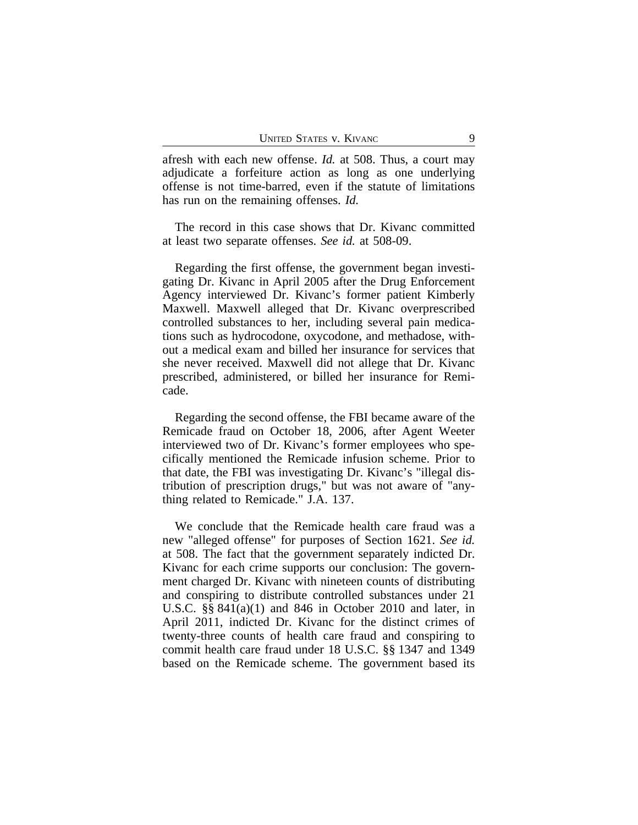afresh with each new offense. *Id.* at 508. Thus, a court may adjudicate a forfeiture action as long as one underlying offense is not time-barred, even if the statute of limitations has run on the remaining offenses. *Id.*

The record in this case shows that Dr. Kivanc committed at least two separate offenses. *See id.* at 508-09.

Regarding the first offense, the government began investigating Dr. Kivanc in April 2005 after the Drug Enforcement Agency interviewed Dr. Kivanc's former patient Kimberly Maxwell. Maxwell alleged that Dr. Kivanc overprescribed controlled substances to her, including several pain medications such as hydrocodone, oxycodone, and methadose, without a medical exam and billed her insurance for services that she never received. Maxwell did not allege that Dr. Kivanc prescribed, administered, or billed her insurance for Remicade.

Regarding the second offense, the FBI became aware of the Remicade fraud on October 18, 2006, after Agent Weeter interviewed two of Dr. Kivanc's former employees who specifically mentioned the Remicade infusion scheme. Prior to that date, the FBI was investigating Dr. Kivanc's "illegal distribution of prescription drugs," but was not aware of "anything related to Remicade." J.A. 137.

We conclude that the Remicade health care fraud was a new "alleged offense" for purposes of Section 1621. *See id.* at 508. The fact that the government separately indicted Dr. Kivanc for each crime supports our conclusion: The government charged Dr. Kivanc with nineteen counts of distributing and conspiring to distribute controlled substances under 21 U.S.C. §§ 841(a)(1) and 846 in October 2010 and later, in April 2011, indicted Dr. Kivanc for the distinct crimes of twenty-three counts of health care fraud and conspiring to commit health care fraud under 18 U.S.C. §§ 1347 and 1349 based on the Remicade scheme. The government based its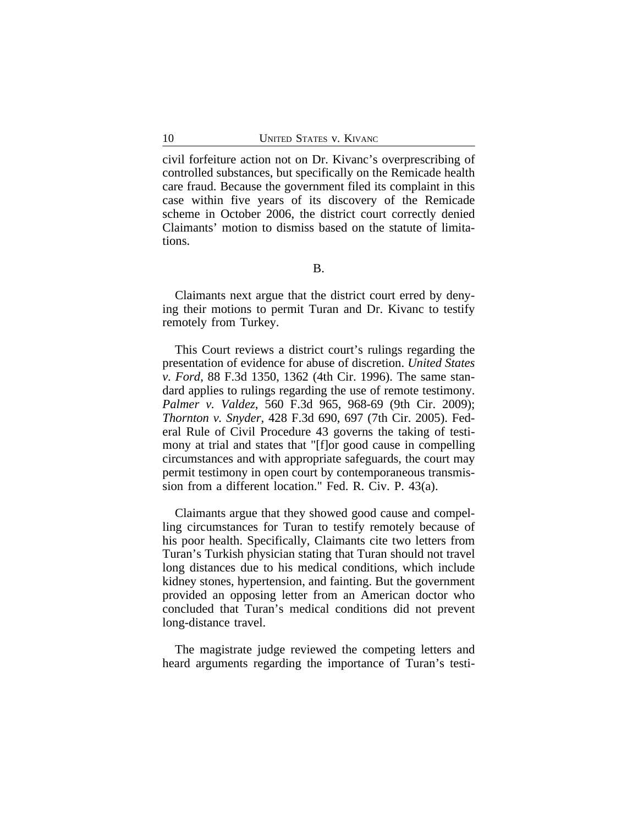civil forfeiture action not on Dr. Kivanc's overprescribing of controlled substances, but specifically on the Remicade health care fraud. Because the government filed its complaint in this case within five years of its discovery of the Remicade scheme in October 2006, the district court correctly denied Claimants' motion to dismiss based on the statute of limitations.

B.

Claimants next argue that the district court erred by denying their motions to permit Turan and Dr. Kivanc to testify remotely from Turkey.

This Court reviews a district court's rulings regarding the presentation of evidence for abuse of discretion. *United States v. Ford*, 88 F.3d 1350, 1362 (4th Cir. 1996). The same standard applies to rulings regarding the use of remote testimony. *Palmer v. Valdez*, 560 F.3d 965, 968-69 (9th Cir. 2009); *Thornton v. Snyder*, 428 F.3d 690, 697 (7th Cir. 2005). Federal Rule of Civil Procedure 43 governs the taking of testimony at trial and states that "[f]or good cause in compelling circumstances and with appropriate safeguards, the court may permit testimony in open court by contemporaneous transmission from a different location." Fed. R. Civ. P. 43(a).

Claimants argue that they showed good cause and compelling circumstances for Turan to testify remotely because of his poor health. Specifically, Claimants cite two letters from Turan's Turkish physician stating that Turan should not travel long distances due to his medical conditions, which include kidney stones, hypertension, and fainting. But the government provided an opposing letter from an American doctor who concluded that Turan's medical conditions did not prevent long-distance travel.

The magistrate judge reviewed the competing letters and heard arguments regarding the importance of Turan's testi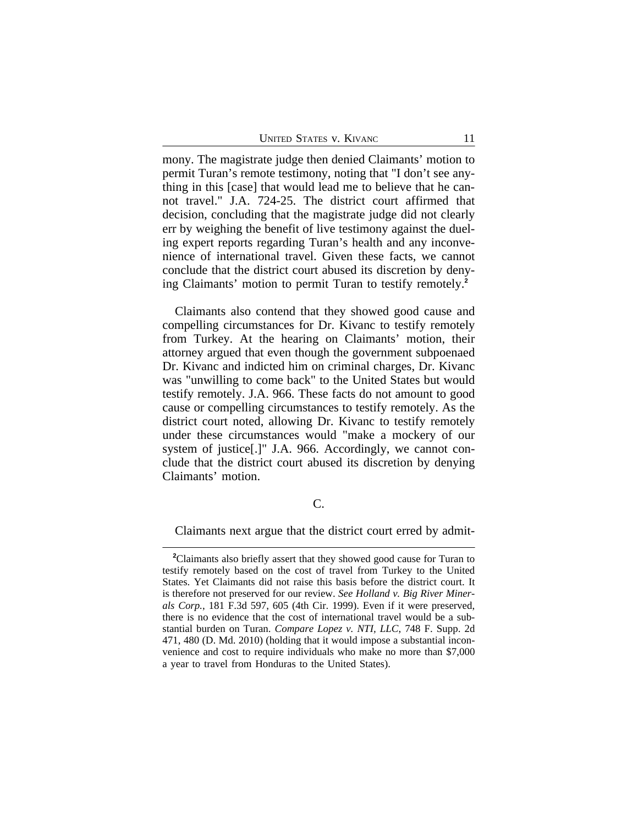mony. The magistrate judge then denied Claimants' motion to permit Turan's remote testimony, noting that "I don't see anything in this [case] that would lead me to believe that he cannot travel." J.A. 724-25. The district court affirmed that decision, concluding that the magistrate judge did not clearly err by weighing the benefit of live testimony against the dueling expert reports regarding Turan's health and any inconvenience of international travel. Given these facts, we cannot conclude that the district court abused its discretion by denying Claimants' motion to permit Turan to testify remotely.**<sup>2</sup>**

Claimants also contend that they showed good cause and compelling circumstances for Dr. Kivanc to testify remotely from Turkey. At the hearing on Claimants' motion, their attorney argued that even though the government subpoenaed Dr. Kivanc and indicted him on criminal charges, Dr. Kivanc was "unwilling to come back" to the United States but would testify remotely. J.A. 966. These facts do not amount to good cause or compelling circumstances to testify remotely. As the district court noted, allowing Dr. Kivanc to testify remotely under these circumstances would "make a mockery of our system of justice[.]" J.A. 966. Accordingly, we cannot conclude that the district court abused its discretion by denying Claimants' motion.

C.

Claimants next argue that the district court erred by admit-

**<sup>2</sup>**Claimants also briefly assert that they showed good cause for Turan to testify remotely based on the cost of travel from Turkey to the United States. Yet Claimants did not raise this basis before the district court. It is therefore not preserved for our review. *See Holland v. Big River Minerals Corp.*, 181 F.3d 597, 605 (4th Cir. 1999). Even if it were preserved, there is no evidence that the cost of international travel would be a substantial burden on Turan. *Compare Lopez v. NTI, LLC*, 748 F. Supp. 2d 471, 480 (D. Md. 2010) (holding that it would impose a substantial inconvenience and cost to require individuals who make no more than \$7,000 a year to travel from Honduras to the United States).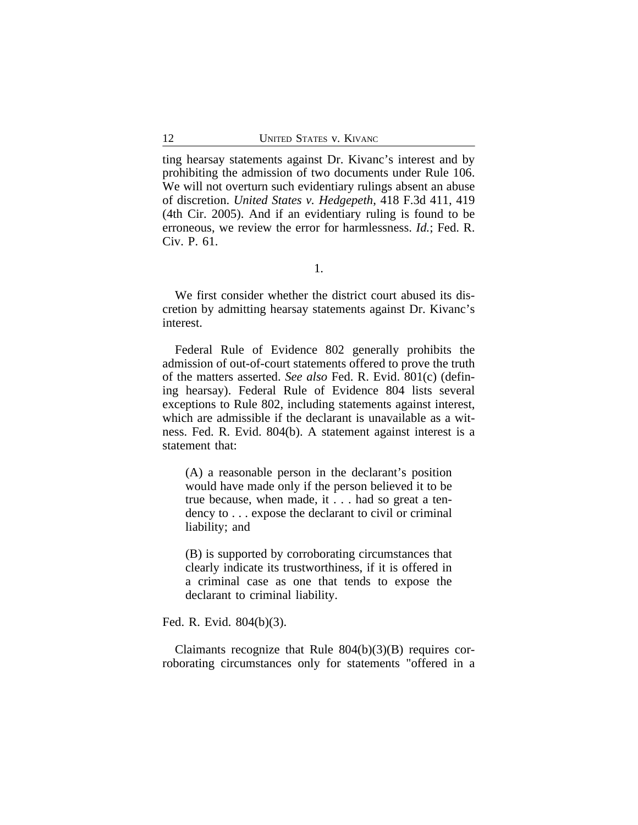ting hearsay statements against Dr. Kivanc's interest and by prohibiting the admission of two documents under Rule 106. We will not overturn such evidentiary rulings absent an abuse of discretion. *United States v. Hedgepeth*, 418 F.3d 411, 419 (4th Cir. 2005). And if an evidentiary ruling is found to be erroneous, we review the error for harmlessness. *Id.*; Fed. R. Civ. P. 61.

We first consider whether the district court abused its discretion by admitting hearsay statements against Dr. Kivanc's interest.

Federal Rule of Evidence 802 generally prohibits the admission of out-of-court statements offered to prove the truth of the matters asserted. *See also* Fed. R. Evid. 801(c) (defining hearsay). Federal Rule of Evidence 804 lists several exceptions to Rule 802, including statements against interest, which are admissible if the declarant is unavailable as a witness. Fed. R. Evid. 804(b). A statement against interest is a statement that:

(A) a reasonable person in the declarant's position would have made only if the person believed it to be true because, when made, it . . . had so great a tendency to . . . expose the declarant to civil or criminal liability; and

(B) is supported by corroborating circumstances that clearly indicate its trustworthiness, if it is offered in a criminal case as one that tends to expose the declarant to criminal liability.

Fed. R. Evid. 804(b)(3).

Claimants recognize that Rule 804(b)(3)(B) requires corroborating circumstances only for statements "offered in a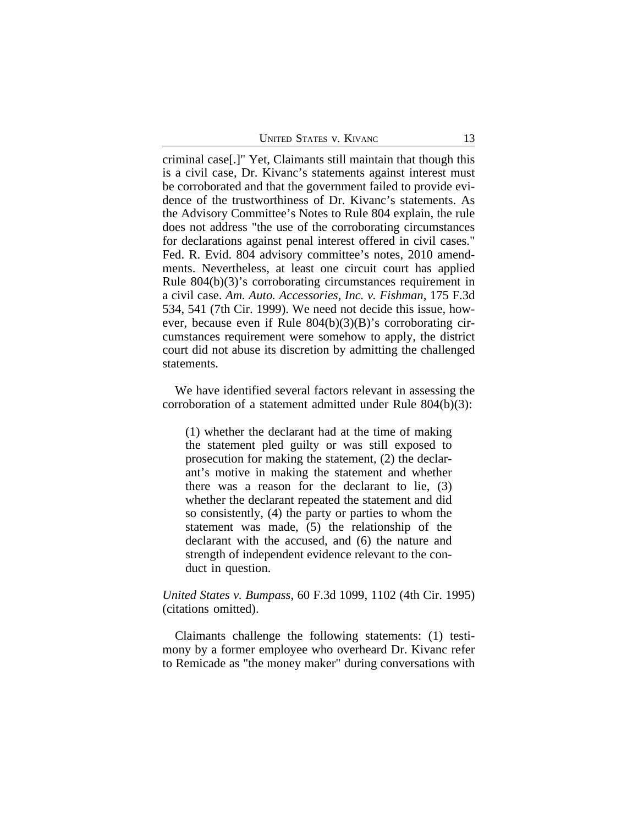criminal case[.]" Yet, Claimants still maintain that though this is a civil case, Dr. Kivanc's statements against interest must be corroborated and that the government failed to provide evidence of the trustworthiness of Dr. Kivanc's statements. As the Advisory Committee's Notes to Rule 804 explain, the rule does not address "the use of the corroborating circumstances for declarations against penal interest offered in civil cases." Fed. R. Evid. 804 advisory committee's notes, 2010 amendments. Nevertheless, at least one circuit court has applied Rule 804(b)(3)'s corroborating circumstances requirement in a civil case. *Am. Auto. Accessories, Inc. v. Fishman*, 175 F.3d 534, 541 (7th Cir. 1999). We need not decide this issue, however, because even if Rule 804(b)(3)(B)'s corroborating circumstances requirement were somehow to apply, the district court did not abuse its discretion by admitting the challenged statements.

We have identified several factors relevant in assessing the corroboration of a statement admitted under Rule 804(b)(3):

(1) whether the declarant had at the time of making the statement pled guilty or was still exposed to prosecution for making the statement, (2) the declarant's motive in making the statement and whether there was a reason for the declarant to lie, (3) whether the declarant repeated the statement and did so consistently, (4) the party or parties to whom the statement was made, (5) the relationship of the declarant with the accused, and (6) the nature and strength of independent evidence relevant to the conduct in question.

### *United States v. Bumpass*, 60 F.3d 1099, 1102 (4th Cir. 1995) (citations omitted).

Claimants challenge the following statements: (1) testimony by a former employee who overheard Dr. Kivanc refer to Remicade as "the money maker" during conversations with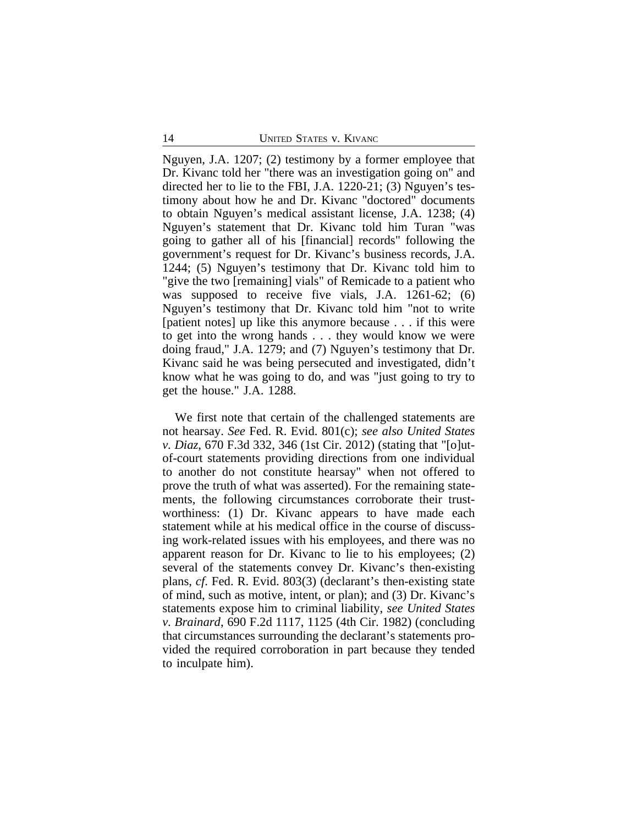Nguyen, J.A. 1207; (2) testimony by a former employee that Dr. Kivanc told her "there was an investigation going on" and directed her to lie to the FBI, J.A. 1220-21; (3) Nguyen's testimony about how he and Dr. Kivanc "doctored" documents to obtain Nguyen's medical assistant license, J.A. 1238; (4) Nguyen's statement that Dr. Kivanc told him Turan "was going to gather all of his [financial] records" following the government's request for Dr. Kivanc's business records, J.A. 1244; (5) Nguyen's testimony that Dr. Kivanc told him to "give the two [remaining] vials" of Remicade to a patient who was supposed to receive five vials, J.A. 1261-62; (6) Nguyen's testimony that Dr. Kivanc told him "not to write [patient notes] up like this anymore because . . . if this were to get into the wrong hands . . . they would know we were doing fraud," J.A. 1279; and (7) Nguyen's testimony that Dr. Kivanc said he was being persecuted and investigated, didn't know what he was going to do, and was "just going to try to get the house." J.A. 1288.

We first note that certain of the challenged statements are not hearsay. *See* Fed. R. Evid. 801(c); *see also United States v. Diaz*, 670 F.3d 332, 346 (1st Cir. 2012) (stating that "[o]utof-court statements providing directions from one individual to another do not constitute hearsay" when not offered to prove the truth of what was asserted). For the remaining statements, the following circumstances corroborate their trustworthiness: (1) Dr. Kivanc appears to have made each statement while at his medical office in the course of discussing work-related issues with his employees, and there was no apparent reason for Dr. Kivanc to lie to his employees; (2) several of the statements convey Dr. Kivanc's then-existing plans, *cf*. Fed. R. Evid. 803(3) (declarant's then-existing state of mind, such as motive, intent, or plan); and (3) Dr. Kivanc's statements expose him to criminal liability, *see United States v. Brainard*, 690 F.2d 1117, 1125 (4th Cir. 1982) (concluding that circumstances surrounding the declarant's statements provided the required corroboration in part because they tended to inculpate him).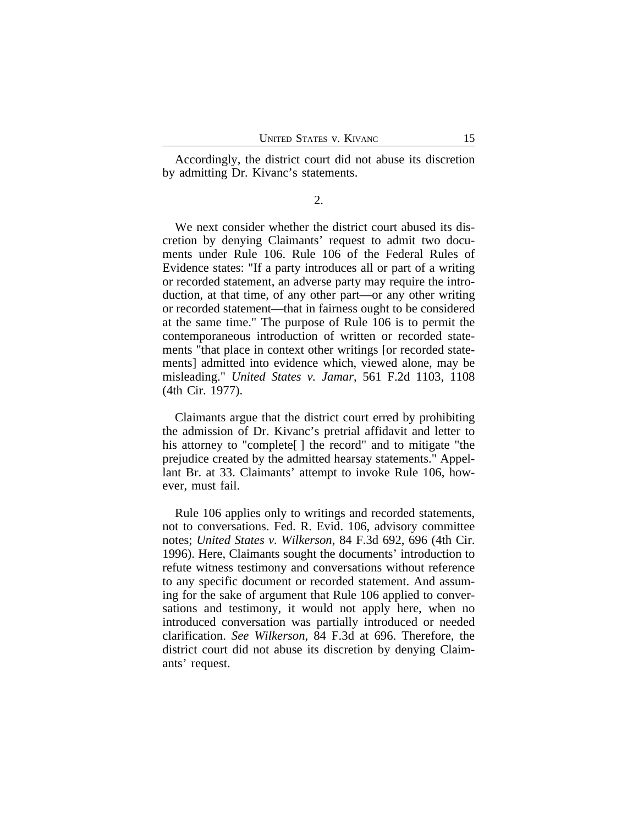Accordingly, the district court did not abuse its discretion by admitting Dr. Kivanc's statements.

2.

We next consider whether the district court abused its discretion by denying Claimants' request to admit two documents under Rule 106. Rule 106 of the Federal Rules of Evidence states: "If a party introduces all or part of a writing or recorded statement, an adverse party may require the introduction, at that time, of any other part—or any other writing or recorded statement—that in fairness ought to be considered at the same time." The purpose of Rule 106 is to permit the contemporaneous introduction of written or recorded statements "that place in context other writings [or recorded statements] admitted into evidence which, viewed alone, may be misleading." *United States v. Jamar*, 561 F.2d 1103, 1108 (4th Cir. 1977).

Claimants argue that the district court erred by prohibiting the admission of Dr. Kivanc's pretrial affidavit and letter to his attorney to "complete[] the record" and to mitigate "the prejudice created by the admitted hearsay statements." Appellant Br. at 33. Claimants' attempt to invoke Rule 106, however, must fail.

Rule 106 applies only to writings and recorded statements, not to conversations. Fed. R. Evid. 106, advisory committee notes; *United States v. Wilkerson*, 84 F.3d 692, 696 (4th Cir. 1996). Here, Claimants sought the documents' introduction to refute witness testimony and conversations without reference to any specific document or recorded statement. And assuming for the sake of argument that Rule 106 applied to conversations and testimony, it would not apply here, when no introduced conversation was partially introduced or needed clarification. *See Wilkerson*, 84 F.3d at 696. Therefore, the district court did not abuse its discretion by denying Claimants' request.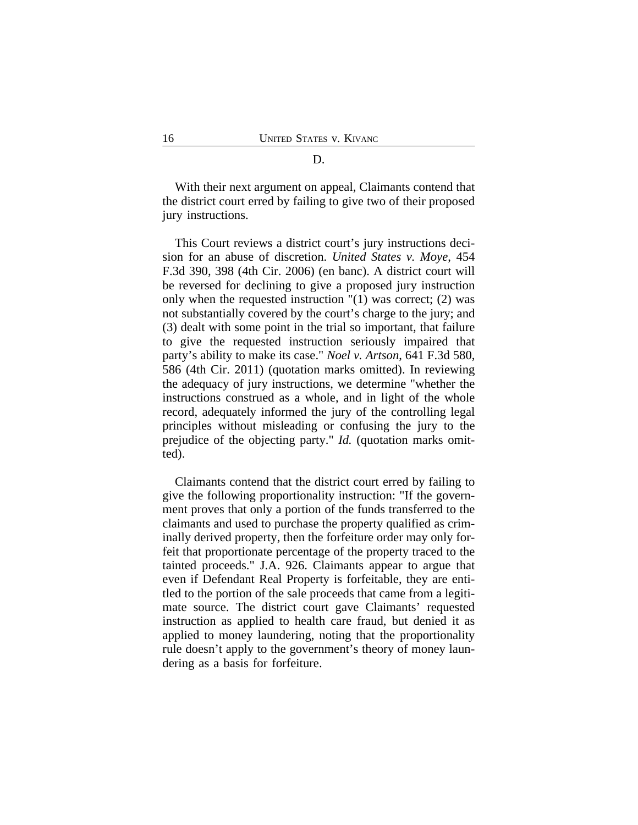#### D.

With their next argument on appeal, Claimants contend that the district court erred by failing to give two of their proposed jury instructions.

This Court reviews a district court's jury instructions decision for an abuse of discretion. *United States v. Moye*, 454 F.3d 390, 398 (4th Cir. 2006) (en banc). A district court will be reversed for declining to give a proposed jury instruction only when the requested instruction "(1) was correct; (2) was not substantially covered by the court's charge to the jury; and (3) dealt with some point in the trial so important, that failure to give the requested instruction seriously impaired that party's ability to make its case." *Noel v. Artson*, 641 F.3d 580, 586 (4th Cir. 2011) (quotation marks omitted). In reviewing the adequacy of jury instructions, we determine "whether the instructions construed as a whole, and in light of the whole record, adequately informed the jury of the controlling legal principles without misleading or confusing the jury to the prejudice of the objecting party." *Id.* (quotation marks omitted).

Claimants contend that the district court erred by failing to give the following proportionality instruction: "If the government proves that only a portion of the funds transferred to the claimants and used to purchase the property qualified as criminally derived property, then the forfeiture order may only forfeit that proportionate percentage of the property traced to the tainted proceeds." J.A. 926. Claimants appear to argue that even if Defendant Real Property is forfeitable, they are entitled to the portion of the sale proceeds that came from a legitimate source. The district court gave Claimants' requested instruction as applied to health care fraud, but denied it as applied to money laundering, noting that the proportionality rule doesn't apply to the government's theory of money laundering as a basis for forfeiture.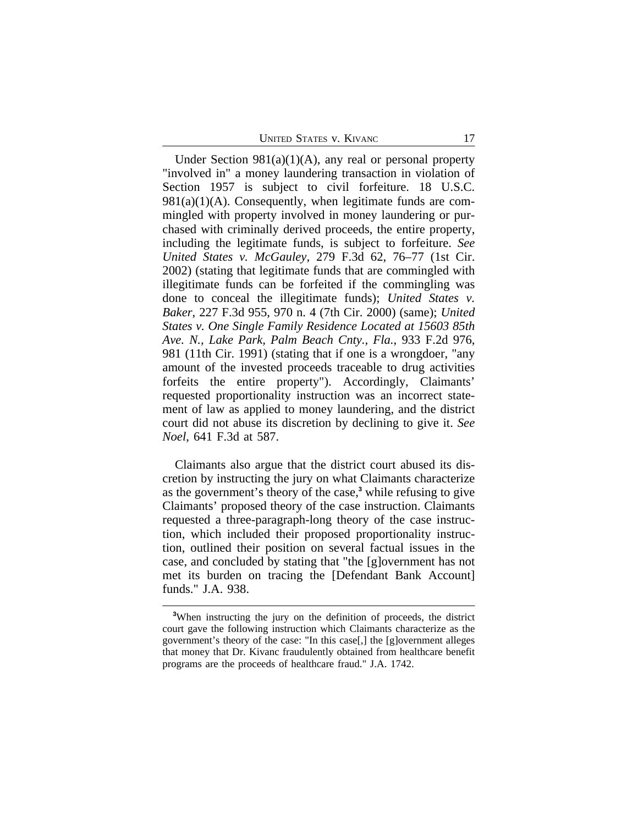UNITED STATES V. KIVANC 17

Under Section  $981(a)(1)(A)$ , any real or personal property "involved in" a money laundering transaction in violation of Section 1957 is subject to civil forfeiture. 18 U.S.C.  $981(a)(1)(A)$ . Consequently, when legitimate funds are commingled with property involved in money laundering or purchased with criminally derived proceeds, the entire property, including the legitimate funds, is subject to forfeiture. *See United States v. McGauley*, 279 F.3d 62, 76–77 (1st Cir. 2002) (stating that legitimate funds that are commingled with illegitimate funds can be forfeited if the commingling was done to conceal the illegitimate funds); *United States v. Baker*, 227 F.3d 955, 970 n. 4 (7th Cir. 2000) (same); *United States v. One Single Family Residence Located at 15603 85th Ave. N., Lake Park, Palm Beach Cnty., Fla.*, 933 F.2d 976, 981 (11th Cir. 1991) (stating that if one is a wrongdoer, "any amount of the invested proceeds traceable to drug activities forfeits the entire property"). Accordingly, Claimants' requested proportionality instruction was an incorrect statement of law as applied to money laundering, and the district court did not abuse its discretion by declining to give it. *See Noel*, 641 F.3d at 587.

Claimants also argue that the district court abused its discretion by instructing the jury on what Claimants characterize as the government's theory of the case,**<sup>3</sup>** while refusing to give Claimants' proposed theory of the case instruction. Claimants requested a three-paragraph-long theory of the case instruction, which included their proposed proportionality instruction, outlined their position on several factual issues in the case, and concluded by stating that "the [g]overnment has not met its burden on tracing the [Defendant Bank Account] funds." J.A. 938.

**<sup>3</sup>**When instructing the jury on the definition of proceeds, the district court gave the following instruction which Claimants characterize as the government's theory of the case: "In this case[,] the [g]overnment alleges that money that Dr. Kivanc fraudulently obtained from healthcare benefit programs are the proceeds of healthcare fraud." J.A. 1742.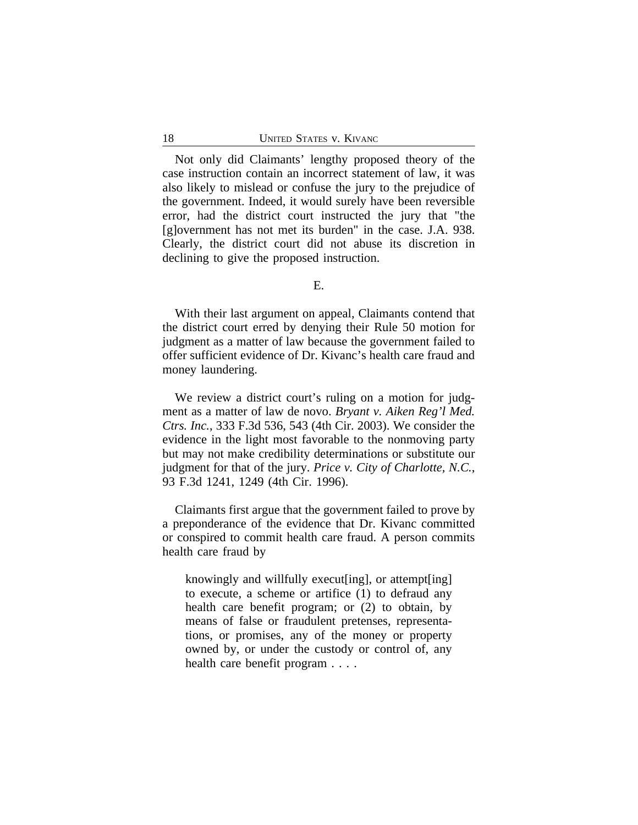Not only did Claimants' lengthy proposed theory of the case instruction contain an incorrect statement of law, it was also likely to mislead or confuse the jury to the prejudice of the government. Indeed, it would surely have been reversible error, had the district court instructed the jury that "the [g]overnment has not met its burden" in the case. J.A. 938. Clearly, the district court did not abuse its discretion in declining to give the proposed instruction.

With their last argument on appeal, Claimants contend that the district court erred by denying their Rule 50 motion for judgment as a matter of law because the government failed to offer sufficient evidence of Dr. Kivanc's health care fraud and money laundering.

We review a district court's ruling on a motion for judgment as a matter of law de novo. *Bryant v. Aiken Reg'l Med. Ctrs. Inc.*, 333 F.3d 536, 543 (4th Cir. 2003). We consider the evidence in the light most favorable to the nonmoving party but may not make credibility determinations or substitute our judgment for that of the jury. *Price v. City of Charlotte, N.C.*, 93 F.3d 1241, 1249 (4th Cir. 1996).

Claimants first argue that the government failed to prove by a preponderance of the evidence that Dr. Kivanc committed or conspired to commit health care fraud. A person commits health care fraud by

knowingly and willfully execut[ing], or attempt[ing] to execute, a scheme or artifice (1) to defraud any health care benefit program; or (2) to obtain, by means of false or fraudulent pretenses, representations, or promises, any of the money or property owned by, or under the custody or control of, any health care benefit program . . . .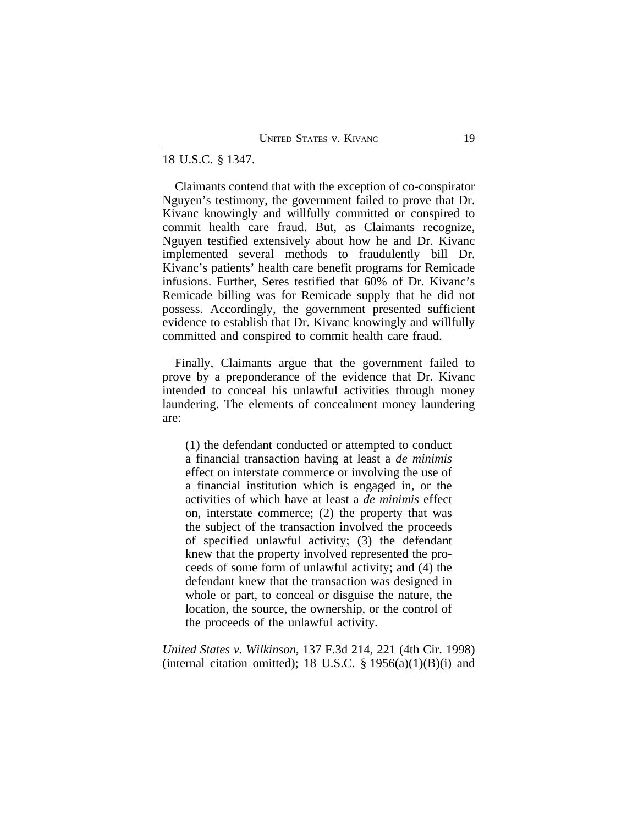#### 18 U.S.C. § 1347.

Claimants contend that with the exception of co-conspirator Nguyen's testimony, the government failed to prove that Dr. Kivanc knowingly and willfully committed or conspired to commit health care fraud. But, as Claimants recognize, Nguyen testified extensively about how he and Dr. Kivanc implemented several methods to fraudulently bill Dr. Kivanc's patients' health care benefit programs for Remicade infusions. Further, Seres testified that 60% of Dr. Kivanc's Remicade billing was for Remicade supply that he did not possess. Accordingly, the government presented sufficient evidence to establish that Dr. Kivanc knowingly and willfully committed and conspired to commit health care fraud.

Finally, Claimants argue that the government failed to prove by a preponderance of the evidence that Dr. Kivanc intended to conceal his unlawful activities through money laundering. The elements of concealment money laundering are:

(1) the defendant conducted or attempted to conduct a financial transaction having at least a *de minimis* effect on interstate commerce or involving the use of a financial institution which is engaged in, or the activities of which have at least a *de minimis* effect on, interstate commerce; (2) the property that was the subject of the transaction involved the proceeds of specified unlawful activity; (3) the defendant knew that the property involved represented the proceeds of some form of unlawful activity; and (4) the defendant knew that the transaction was designed in whole or part, to conceal or disguise the nature, the location, the source, the ownership, or the control of the proceeds of the unlawful activity.

*United States v. Wilkinson*, 137 F.3d 214, 221 (4th Cir. 1998) (internal citation omitted); 18 U.S.C.  $\S$  1956(a)(1)(B)(i) and